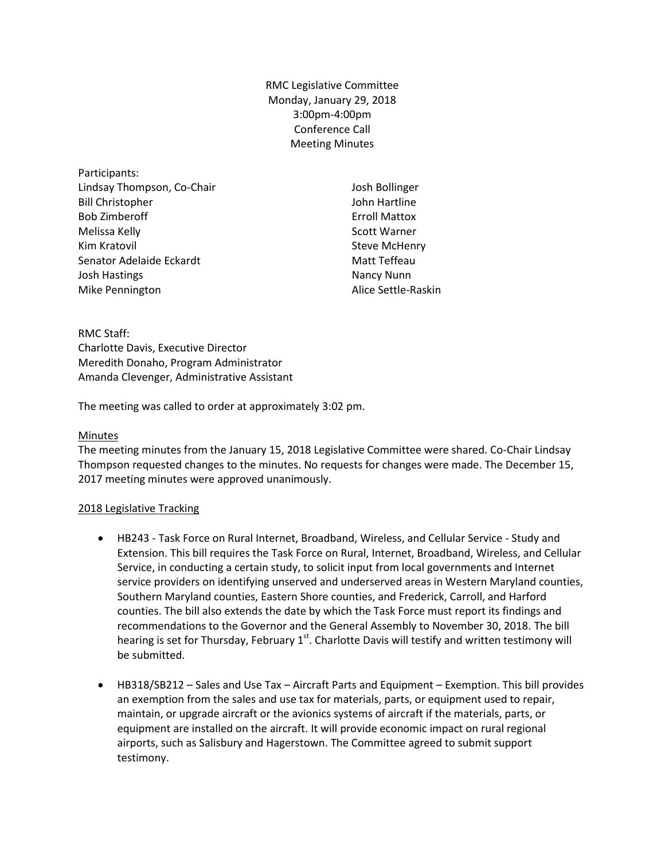RMC Legislative Committee Monday, January 29, 2018 3:00pm-4:00pm Conference Call Meeting Minutes

Participants: Lindsay Thompson, Co-Chair Bill Christopher Bob Zimberoff Melissa Kelly Kim Kratovil Senator Adelaide Eckardt Josh Hastings Mike Pennington

Josh Bollinger John Hartline Erroll Mattox Scott Warner Steve McHenry Matt Teffeau Nancy Nunn Alice Settle-Raskin

RMC Staff: Charlotte Davis, Executive Director Meredith Donaho, Program Administrator Amanda Clevenger, Administrative Assistant

The meeting was called to order at approximately 3:02 pm.

#### Minutes

The meeting minutes from the January 15, 2018 Legislative Committee were shared. Co-Chair Lindsay Thompson requested changes to the minutes. No requests for changes were made. The December 15, 2017 meeting minutes were approved unanimously.

## 2018 Legislative Tracking

- HB243 Task Force on Rural Internet, Broadband, Wireless, and Cellular Service Study and Extension. This bill requires the Task Force on Rural, Internet, Broadband, Wireless, and Cellular Service, in conducting a certain study, to solicit input from local governments and Internet service providers on identifying unserved and underserved areas in Western Maryland counties, Southern Maryland counties, Eastern Shore counties, and Frederick, Carroll, and Harford counties. The bill also extends the date by which the Task Force must report its findings and recommendations to the Governor and the General Assembly to November 30, 2018. The bill hearing is set for Thursday, February  $1<sup>st</sup>$ . Charlotte Davis will testify and written testimony will be submitted.
- HB318/SB212 Sales and Use Tax Aircraft Parts and Equipment Exemption. This bill provides an exemption from the sales and use tax for materials, parts, or equipment used to repair, maintain, or upgrade aircraft or the avionics systems of aircraft if the materials, parts, or equipment are installed on the aircraft. It will provide economic impact on rural regional airports, such as Salisbury and Hagerstown. The Committee agreed to submit support testimony.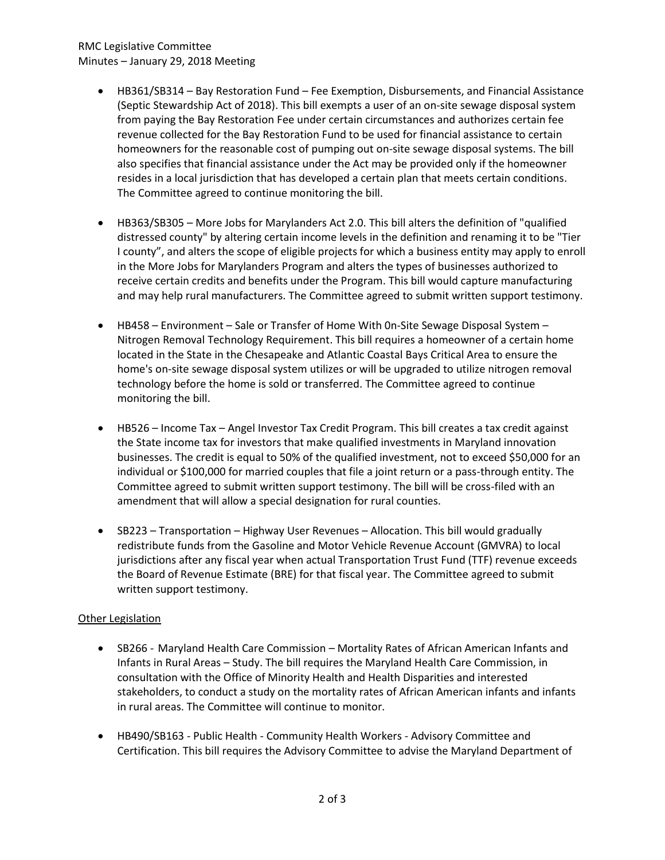## RMC Legislative Committee Minutes – January 29, 2018 Meeting

- HB361/SB314 Bay Restoration Fund Fee Exemption, Disbursements, and Financial Assistance (Septic Stewardship Act of 2018). This bill exempts a user of an on-site sewage disposal system from paying the Bay Restoration Fee under certain circumstances and authorizes certain fee revenue collected for the Bay Restoration Fund to be used for financial assistance to certain homeowners for the reasonable cost of pumping out on-site sewage disposal systems. The bill also specifies that financial assistance under the Act may be provided only if the homeowner resides in a local jurisdiction that has developed a certain plan that meets certain conditions. The Committee agreed to continue monitoring the bill.
- HB363/SB305 More Jobs for Marylanders Act 2.0. This bill alters the definition of "qualified distressed county" by altering certain income levels in the definition and renaming it to be "Tier I county", and alters the scope of eligible projects for which a business entity may apply to enroll in the More Jobs for Marylanders Program and alters the types of businesses authorized to receive certain credits and benefits under the Program. This bill would capture manufacturing and may help rural manufacturers. The Committee agreed to submit written support testimony.
- HB458 Environment Sale or Transfer of Home With 0n-Site Sewage Disposal System Nitrogen Removal Technology Requirement. This bill requires a homeowner of a certain home located in the State in the Chesapeake and Atlantic Coastal Bays Critical Area to ensure the home's on-site sewage disposal system utilizes or will be upgraded to utilize nitrogen removal technology before the home is sold or transferred. The Committee agreed to continue monitoring the bill.
- HB526 Income Tax Angel Investor Tax Credit Program. This bill creates a tax credit against the State income tax for investors that make qualified investments in Maryland innovation businesses. The credit is equal to 50% of the qualified investment, not to exceed \$50,000 for an individual or \$100,000 for married couples that file a joint return or a pass-through entity. The Committee agreed to submit written support testimony. The bill will be cross-filed with an amendment that will allow a special designation for rural counties.
- SB223 Transportation Highway User Revenues Allocation. This bill would gradually redistribute funds from the Gasoline and Motor Vehicle Revenue Account (GMVRA) to local jurisdictions after any fiscal year when actual Transportation Trust Fund (TTF) revenue exceeds the Board of Revenue Estimate (BRE) for that fiscal year. The Committee agreed to submit written support testimony.

# Other Legislation

- SB266 Maryland Health Care Commission Mortality Rates of African American Infants and Infants in Rural Areas – Study. The bill requires the Maryland Health Care Commission, in consultation with the Office of Minority Health and Health Disparities and interested stakeholders, to conduct a study on the mortality rates of African American infants and infants in rural areas. The Committee will continue to monitor.
- HB490/SB163 Public Health Community Health Workers Advisory Committee and Certification. This bill requires the Advisory Committee to advise the Maryland Department of